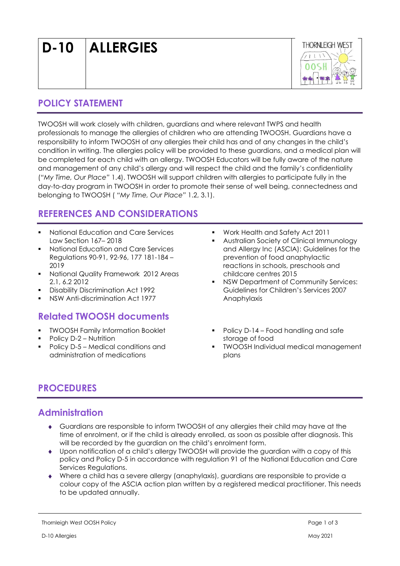D-10 ALLERGIES



## POLICY STATEMENT

TWOOSH will work closely with children, guardians and where relevant TWPS and health professionals to manage the allergies of children who are attending TWOOSH. Guardians have a responsibility to inform TWOOSH of any allergies their child has and of any changes in the child's condition in writing. The allergies policy will be provided to these guardians, and a medical plan will be completed for each child with an allergy. TWOOSH Educators will be fully aware of the nature and management of any child's allergy and will respect the child and the family's confidentiality ("My Time, Our Place" 1.4). TWOOSH will support children with allergies to participate fully in the day-to-day program in TWOOSH in order to promote their sense of well being, connectedness and belonging to TWOOSH ( "My Time, Our Place" 1.2, 3.1).

# REFERENCES AND CONSIDERATIONS

- National Education and Care Services Law Section 167– 2018
- National Education and Care Services Regulations 90-91, 92-96, 177 181-184 – 2019
- **National Quality Framework 2012 Areas** 2.1, 6.2 2012
- **Disability Discrimination Act 1992**
- NSW Anti-discrimination Act 1977

# Related TWOOSH documents

- TWOOSH Family Information Booklet
- Policy D-2 Nutrition
- Policy D-5 Medical conditions and administration of medications
- Work Health and Safety Act 2011
- Australian Society of Clinical Immunology and Allergy Inc (ASCIA): Guidelines for the prevention of food anaphylactic reactions in schools, preschools and childcare centres 2015
- NSW Department of Community Services: Guidelines for Children's Services 2007 Anaphylaxis
- Policy D-14 Food handling and safe storage of food
- TWOOSH Individual medical management plans

# PROCEDURES

## Administration

- Guardians are responsible to inform TWOOSH of any allergies their child may have at the time of enrolment, or if the child is already enrolled, as soon as possible after diagnosis. This will be recorded by the guardian on the child's enrolment form.
- Upon notification of a child's allergy TWOOSH will provide the guardian with a copy of this policy and Policy D-5 in accordance with regulation 91 of the National Education and Care Services Regulations.
- Where a child has a severe allergy (anaphylaxis), guardians are responsible to provide a colour copy of the ASCIA action plan written by a registered medical practitioner. This needs to be updated annually.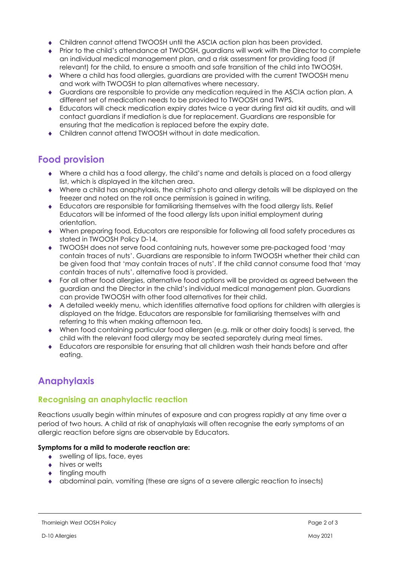- Children cannot attend TWOOSH until the ASCIA action plan has been provided.
- Prior to the child's attendance at TWOOSH, guardians will work with the Director to complete an individual medical management plan, and a risk assessment for providing food (if relevant) for the child, to ensure a smooth and safe transition of the child into TWOOSH.
- Where a child has food allergies, guardians are provided with the current TWOOSH menu and work with TWOOSH to plan alternatives where necessary.
- Guardians are responsible to provide any medication required in the ASCIA action plan. A different set of medication needs to be provided to TWOOSH and TWPS.
- Educators will check medication expiry dates twice a year during first aid kit audits, and will contact guardians if mediation is due for replacement. Guardians are responsible for ensuring that the medication is replaced before the expiry date.
- Children cannot attend TWOOSH without in date medication.

## Food provision

- Where a child has a food allergy, the child's name and details is placed on a food allergy list, which is displayed in the kitchen area.
- Where a child has anaphylaxis, the child's photo and allergy details will be displayed on the freezer and noted on the roll once permission is gained in writing.
- Educators are responsible for familiarising themselves with the food allergy lists. Relief Educators will be informed of the food allergy lists upon initial employment during orientation.
- When preparing food, Educators are responsible for following all food safety procedures as stated in TWOOSH Policy D-14.
- TWOOSH does not serve food containing nuts, however some pre-packaged food 'may contain traces of nuts'. Guardians are responsible to inform TWOOSH whether their child can be given food that 'may contain traces of nuts'. If the child cannot consume food that 'may contain traces of nuts', alternative food is provided.
- For all other food allergies, alternative food options will be provided as agreed between the guardian and the Director in the child's individual medical management plan. Guardians can provide TWOOSH with other food alternatives for their child.
- A detailed weekly menu, which identifies alternative food options for children with allergies is displayed on the fridge. Educators are responsible for familiarising themselves with and referring to this when making afternoon tea.
- When food containing particular food allergen (e.g. milk or other dairy foods) is served, the child with the relevant food allergy may be seated separately during meal times.
- Educators are responsible for ensuring that all children wash their hands before and after eating.

# Anaphylaxis

### Recognising an anaphylactic reaction

Reactions usually begin within minutes of exposure and can progress rapidly at any time over a period of two hours. A child at risk of anaphylaxis will often recognise the early symptoms of an allergic reaction before signs are observable by Educators.

#### Symptoms for a mild to moderate reaction are:

- swelling of lips, face, eyes
- ◆ hives or welts
- $\bullet$  tingling mouth
- abdominal pain, vomiting (these are signs of a severe allergic reaction to insects)